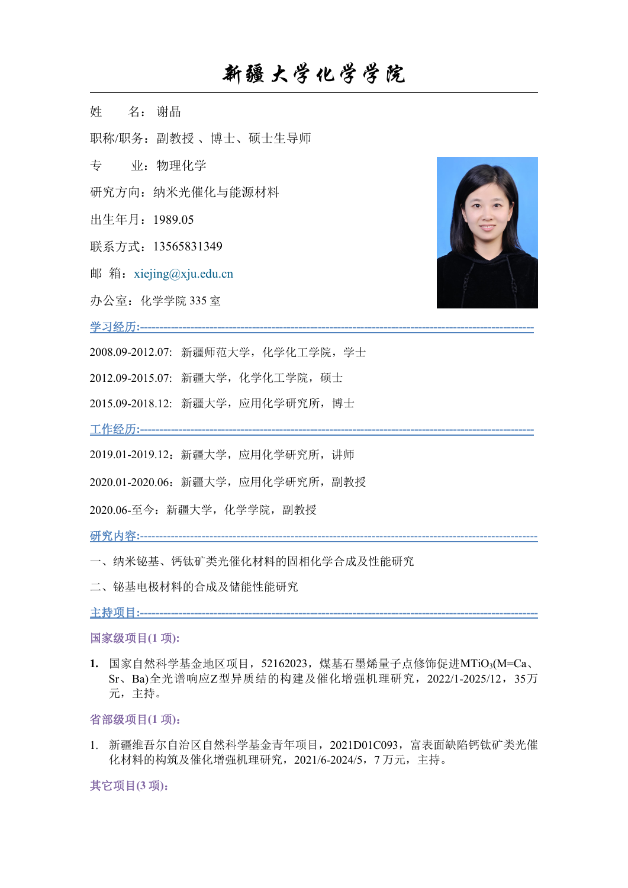## 新疆大学化学学院

姓 名: 谢晶

职称/职务:副教授 、博士、硕士生导师

- 专 业:物理化学
- 研究方向:纳米光催化与能源材料
- 出生年月:1989.05
- 联系方式: 13565831349
- 邮箱: xiejing@xju.edu.cn
- 办公室: 化学学院 335 室

学习经历**:------------------------------------------------------------------------------------------------------**

- 2008.09-2012.07: 新疆师范大学,化学化工学院,学士
- 2012.09-2015.07: 新疆大学,化学化工学院,硕士
- 2015.09-2018.12: 新疆大学,应用化学研究所,博士

工作经历**:------------------------------------------------------------------------------------------------------**

- 2019.01-2019.12:新疆大学,应用化学研究所,讲师
- 2020.01-2020.06:新疆大学,应用化学研究所,副教授
- 2020.06-至今:新疆大学,化学学院,副教授

研究内容**:**-------------------------------------------------------------------------------------------------------

- 一、纳米铋基、钙钛矿类光催化材料的固相化学合成及性能研究
- 二、铋基电极材料的合成及储能性能研究

主持项目**:-------------------------------------------------------------------------------------------------------**

#### 国家级项目**(1** 项**):**

**1.** 国家自然科学基金地区项目,52162023,煤基石墨烯量子点修饰促进MTiO3(M=Ca、 Sr、Ba)全光谱响应Z型异质结的构建及催化增强机理研究,2022/1-2025/12,35万 元,主持。

#### 省部级项目**(1** 项**)**:

1. 新疆维吾尔自治区自然科学基金青年项目,2021D01C093,富表面缺陷钙钛矿类光催 化材料的构筑及催化增强机理研究,2021/6-2024/5,7 万元,主持。

其它项目**(3** 项**)**: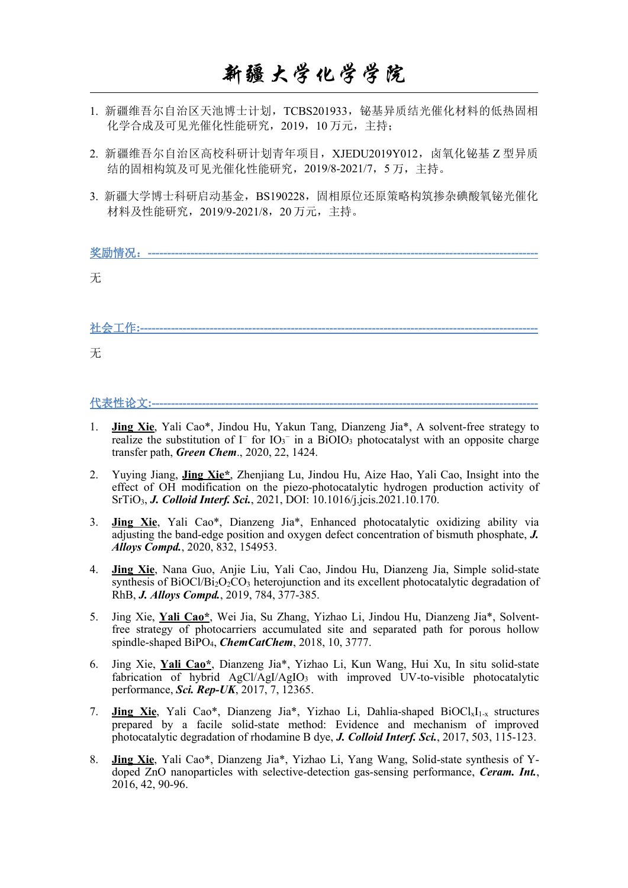# 新疆大学化学学院

- 1. 新疆维吾尔自治区天池博士计划,TCBS201933,铋基异质结光催化材料的低热固相 化学合成及可见光催化性能研究,2019,10 万元,主持;
- 2. 新疆维吾尔自治区高校科研计划青年项目, XJEDU2019Y012, 卤氧化铋基 Z 型异质 结的固相构筑及可见光催化性能研究,2019/8-2021/7,5 万,主持。
- 3. 新疆大学博士科研启动基金, BS190228, 固相原位还原策略构筑掺杂碘酸氧铋光催化 材料及性能研究,2019/9-2021/8,20 万元,主持。

| 奖励情况: |  |
|-------|--|
| 无     |  |
|       |  |
|       |  |
|       |  |

社会工作**:-------------------------------------------------------------------------------------------------------**

无人的人,但是我们的人们不会不会不会不会不会不会不会不会

### 代表性论文**:----------------------------------------------------------------------------------------------------**

- 1. **Jing Xie**, Yali Cao\*, Jindou Hu, Yakun Tang, Dianzeng Jia\*, A solvent-free strategy to realize the substitution of I<sup>−</sup> for IO<sub>3</sub><sup>-</sup> in a BiOIO<sub>3</sub> photocatalyst with an opposite charge transfer path, *Green Chem*., 2020, 22, 1424.
- 2. Yuying Jiang, **Jing Xie\***, Zhenjiang Lu, Jindou Hu, Aize Hao, Yali Cao, Insight into the effect of OH modification on the piezo-photocatalytic hydrogen production activity of SrTiO3, *J. Colloid Interf. Sci.*, 2021, DOI: 10.1016/j.jcis.2021.10.170.
- 3. **Jing Xie**, Yali Cao\*, Dianzeng Jia\*, Enhanced photocatalytic oxidizing ability via adjusting the band-edge position and oxygen defect concentration of bismuth phosphate, *J. Alloys Compd.*, 2020, 832, 154953.
- 4. **Jing Xie**, Nana Guo, Anjie Liu, Yali Cao, Jindou Hu, Dianzeng Jia, Simple solid-state synthesis of BiOCl/Bi<sub>2</sub>O<sub>2</sub>CO<sub>3</sub> heterojunction and its excellent photocatalytic degradation of RhB, *J. Alloys Compd.*, 2019, 784, 377-385.
- 5. Jing Xie, **YaliCao\***, Wei Jia, Su Zhang, Yizhao Li, Jindou Hu, Dianzeng Jia\*, Solventfree strategy of photocarriers accumulated site and separated path for porous hollow spindle-shaped BiPO4, *ChemCatChem*, 2018, 10, 3777.
- 6. Jing Xie, **Yali Cao\***, Dianzeng Jia\*, Yizhao Li, Kun Wang, Hui Xu, In situ solid-state fabrication of hybrid  $AgC/AgI/AgIO_3$  with improved UV-to-visible photocatalytic performance, *Sci. Rep-UK*, 2017, 7, 12365.
- 7. **Jing Xie**, Yali Cao\*, Dianzeng Jia\*, Yizhao Li, Dahlia-shaped BiOCl<sub>x</sub>I<sub>1-x</sub> structures prepared by a facile solid-state method: Evidence and mechanism of improved photocatalytic degradation of rhodamine B dye, *J. Colloid Interf. Sci.*, 2017, 503, 115-123.
- 8. **Jing Xie**, Yali Cao\*, Dianzeng Jia\*, Yizhao Li, Yang Wang, Solid-state synthesis of Y doped ZnO nanoparticles with selective-detection gas-sensing performance, *Ceram. Int.*, 2016, 42, 90-96.